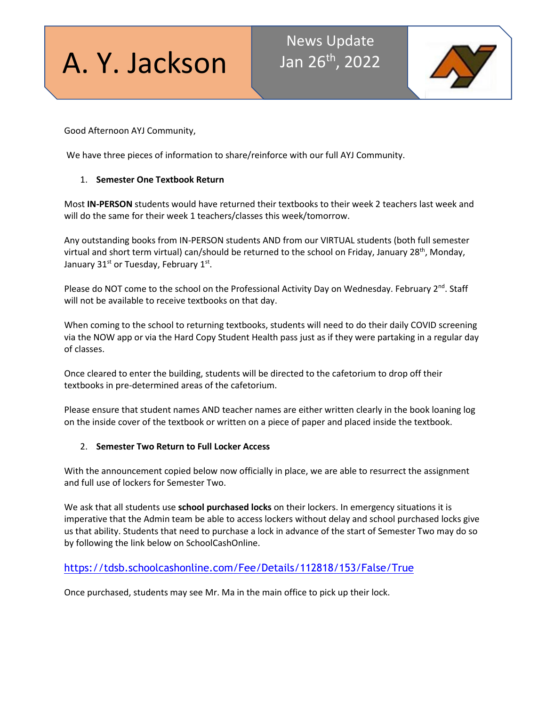# A. Y. Jackson

## News Update Jan 26th, 2022



Good Afternoon AYJ Community,

We have three pieces of information to share/reinforce with our full AYJ Community.

#### 1. **Semester One Textbook Return**

Most **IN-PERSON** students would have returned their textbooks to their week 2 teachers last week and will do the same for their week 1 teachers/classes this week/tomorrow.

Any outstanding books from IN-PERSON students AND from our VIRTUAL students (both full semester virtual and short term virtual) can/should be returned to the school on Friday, January 28<sup>th</sup>, Monday, January  $31<sup>st</sup>$  or Tuesday, February  $1<sup>st</sup>$ .

Please do NOT come to the school on the Professional Activity Day on Wednesday. February  $2^{nd}$ . Staff will not be available to receive textbooks on that day.

When coming to the school to returning textbooks, students will need to do their daily COVID screening via the NOW app or via the Hard Copy Student Health pass just as if they were partaking in a regular day of classes.

Once cleared to enter the building, students will be directed to the cafetorium to drop off their textbooks in pre-determined areas of the cafetorium.

Please ensure that student names AND teacher names are either written clearly in the book loaning log on the inside cover of the textbook or written on a piece of paper and placed inside the textbook.

#### 2. **Semester Two Return to Full Locker Access**

With the announcement copied below now officially in place, we are able to resurrect the assignment and full use of lockers for Semester Two.

We ask that all students use **school purchased locks** on their lockers. In emergency situations it is imperative that the Admin team be able to access lockers without delay and school purchased locks give us that ability. Students that need to purchase a lock in advance of the start of Semester Two may do so by following the link below on SchoolCashOnline.

### [https://tdsb.schoolcashonline.com/Fee/Details/112818/153/False/True](http://track.spe.schoolmessenger.com/f/a/cSDAQF4j5M9XTptBhwdrkQ%7E%7E/AAAAAQA%7E/RgRj0vkKP0RDaHR0cHM6Ly90ZHNiLnNjaG9vbGNhc2hvbmxpbmUuY29tL0ZlZS9EZXRhaWxzLzExMjgxOC8xNTMvRmFsc2UvVHJ1ZVcHc2Nob29sbUIKYd-KxfFhCS4--VIWa2FyaW0uc3VraHVAdGRzYi5vbi5jYVgEAAAAAg%7E%7E)

Once purchased, students may see Mr. Ma in the main office to pick up their lock.